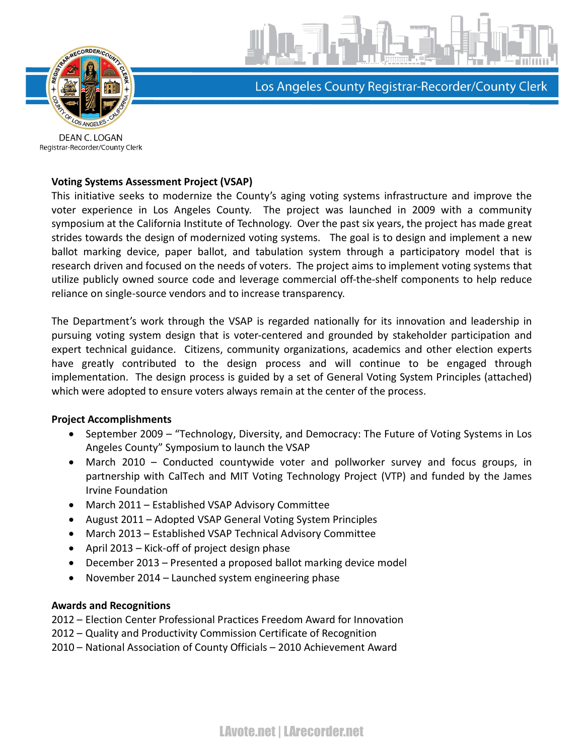

Los Angeles County Registrar-Recorder/County Clerk

DEAN C. LOGAN Registrar-Recorder/County Clerk

## **Voting Systems Assessment Project (VSAP)**

This initiative seeks to modernize the County's aging voting systems infrastructure and improve the voter experience in Los Angeles County. The project was launched in 2009 with a community symposium at the California Institute of Technology. Over the past six years, the project has made great strides towards the design of modernized voting systems. The goal is to design and implement a new ballot marking device, paper ballot, and tabulation system through a participatory model that is research driven and focused on the needs of voters. The project aims to implement voting systems that utilize publicly owned source code and leverage commercial off-the-shelf components to help reduce reliance on single-source vendors and to increase transparency.

The Department's work through the VSAP is regarded nationally for its innovation and leadership in pursuing voting system design that is voter-centered and grounded by stakeholder participation and expert technical guidance. Citizens, community organizations, academics and other election experts have greatly contributed to the design process and will continue to be engaged through implementation. The design process is guided by a set of General Voting System Principles (attached) which were adopted to ensure voters always remain at the center of the process.

## **Project Accomplishments**

- · September 2009 "Technology, Diversity, and Democracy: The Future of Voting Systems in Los Angeles County" Symposium to launch the VSAP
- · March 2010 Conducted countywide voter and pollworker survey and focus groups, in partnership with CalTech and MIT Voting Technology Project (VTP) and funded by the James Irvine Foundation
- · March 2011 Established VSAP Advisory Committee
- · August 2011 Adopted VSAP General Voting System Principles
- · March 2013 Established VSAP Technical Advisory Committee
- · April 2013 Kick-off of project design phase
- · December 2013 Presented a proposed ballot marking device model
- · November 2014 Launched system engineering phase

## **Awards and Recognitions**

2012 – Election Center Professional Practices Freedom Award for Innovation

- 2012 Quality and Productivity Commission Certificate of Recognition
- 2010 National Association of County Officials 2010 Achievement Award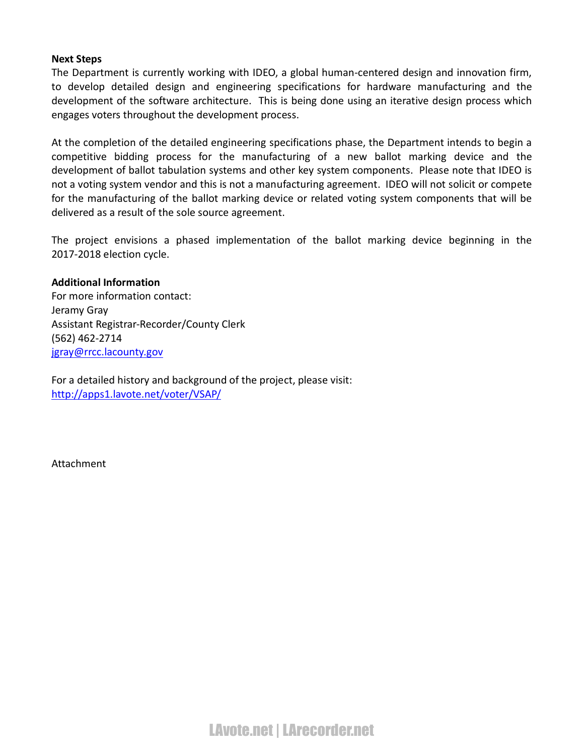### **Next Steps**

The Department is currently working with IDEO, a global human-centered design and innovation firm, to develop detailed design and engineering specifications for hardware manufacturing and the development of the software architecture. This is being done using an iterative design process which engages voters throughout the development process.

At the completion of the detailed engineering specifications phase, the Department intends to begin a competitive bidding process for the manufacturing of a new ballot marking device and the development of ballot tabulation systems and other key system components. Please note that IDEO is not a voting system vendor and this is not a manufacturing agreement. IDEO will not solicit or compete for the manufacturing of the ballot marking device or related voting system components that will be delivered as a result of the sole source agreement.

The project envisions a phased implementation of the ballot marking device beginning in the 2017-2018 election cycle.

#### **Additional Information**

For more information contact: Jeramy Gray Assistant Registrar-Recorder/County Clerk (562) 462-2714 [jgray@rrcc.lacounty.gov](mailto:jgray@rrcc.lacounty.gov)

For a detailed history and background of the project, please visit: <http://apps1.lavote.net/voter/VSAP/>

Attachment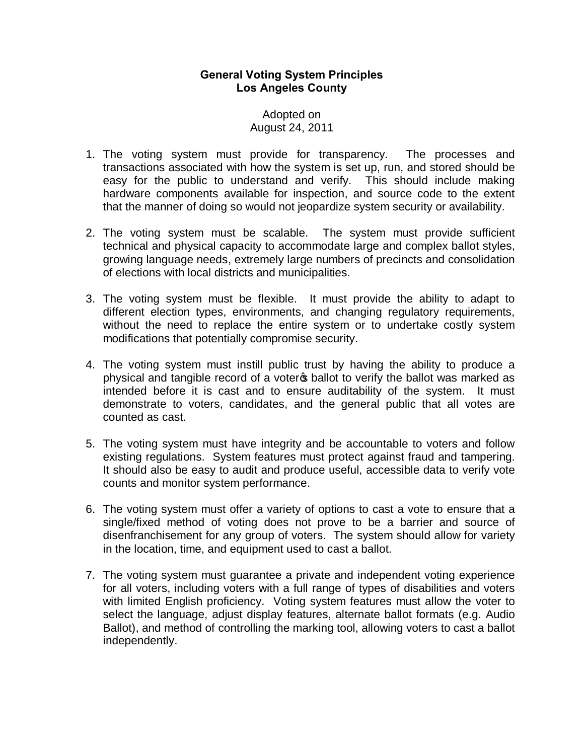# **General Voting System Principles Los Angeles County**

# Adopted on August 24, 2011

- 1. The voting system must provide for transparency. The processes and transactions associated with how the system is set up, run, and stored should be easy for the public to understand and verify. This should include making hardware components available for inspection, and source code to the extent that the manner of doing so would not jeopardize system security or availability.
- 2. The voting system must be scalable. The system must provide sufficient technical and physical capacity to accommodate large and complex ballot styles, growing language needs, extremely large numbers of precincts and consolidation of elections with local districts and municipalities.
- 3. The voting system must be flexible. It must provide the ability to adapt to different election types, environments, and changing regulatory requirements, without the need to replace the entire system or to undertake costly system modifications that potentially compromise security.
- 4. The voting system must instill public trust by having the ability to produce a physical and tangible record of a voter a ballot to verify the ballot was marked as intended before it is cast and to ensure auditability of the system. It must demonstrate to voters, candidates, and the general public that all votes are counted as cast.
- 5. The voting system must have integrity and be accountable to voters and follow existing regulations. System features must protect against fraud and tampering. It should also be easy to audit and produce useful, accessible data to verify vote counts and monitor system performance.
- 6. The voting system must offer a variety of options to cast a vote to ensure that a single/fixed method of voting does not prove to be a barrier and source of disenfranchisement for any group of voters. The system should allow for variety in the location, time, and equipment used to cast a ballot.
- 7. The voting system must guarantee a private and independent voting experience for all voters, including voters with a full range of types of disabilities and voters with limited English proficiency. Voting system features must allow the voter to select the language, adjust display features, alternate ballot formats (e.g. Audio Ballot), and method of controlling the marking tool, allowing voters to cast a ballot independently.